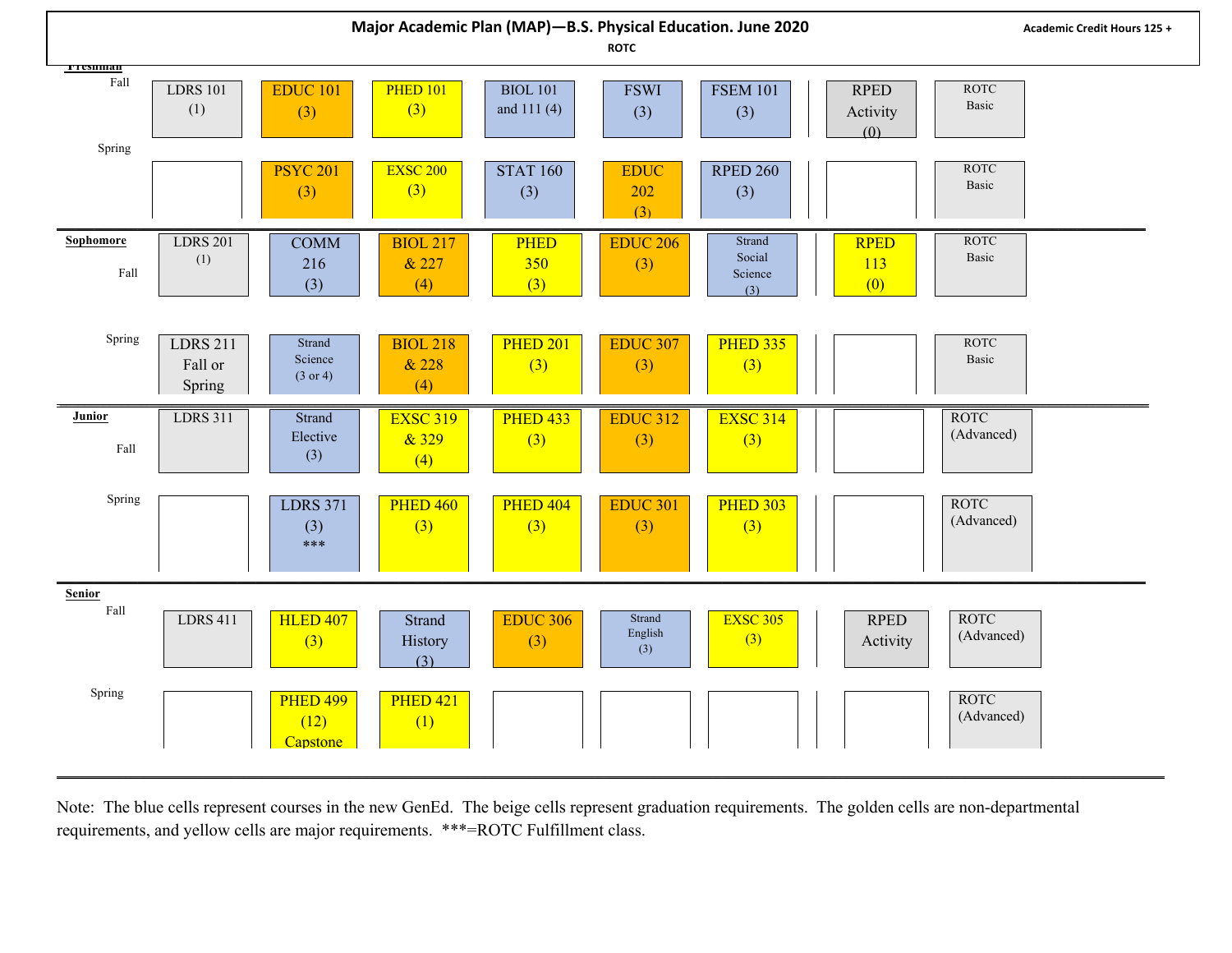

Note: The blue cells represent courses in the new GenEd. The beige cells represent graduation requirements. The golden cells are non-departmental requirements, and yellow cells are major requirements. \*\*\*=ROTC Fulfillment class.